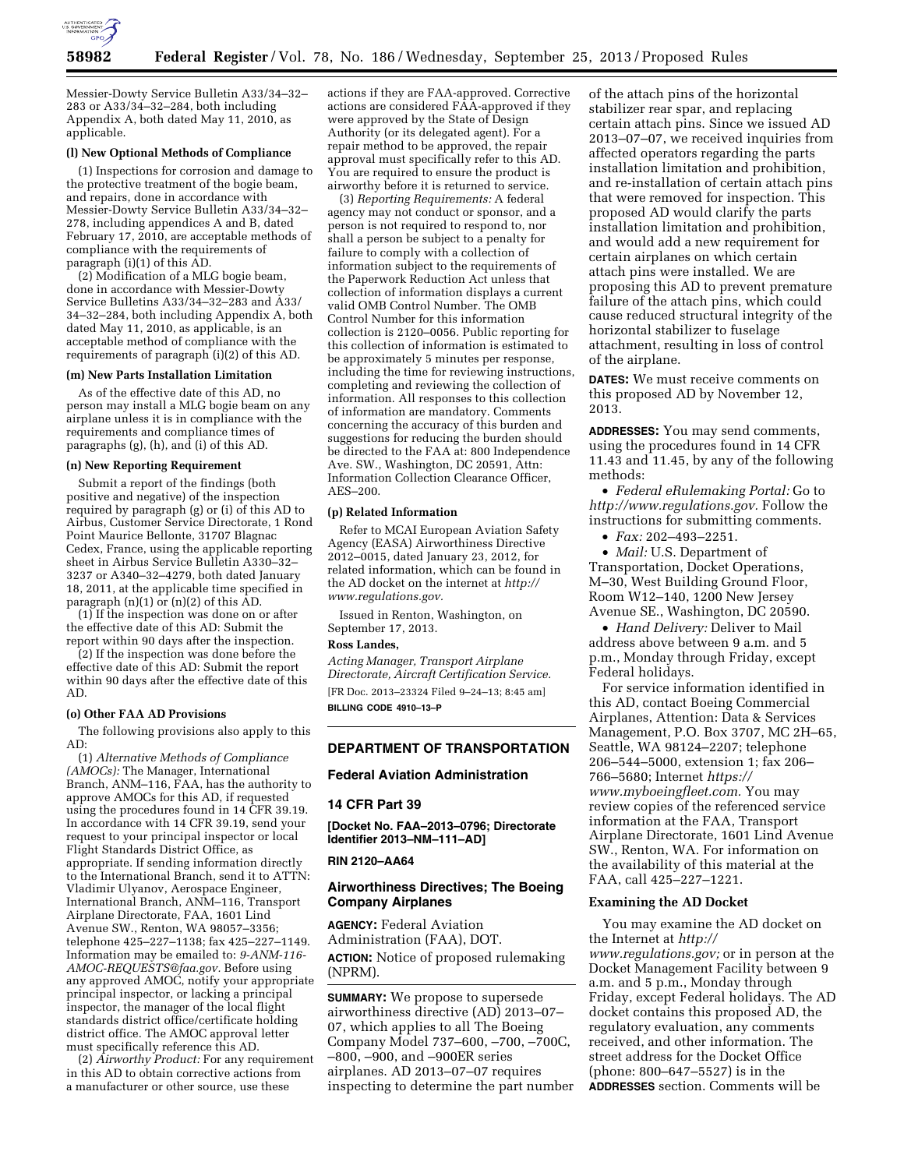

Messier-Dowty Service Bulletin A33/34–32– 283 or A33/34–32–284, both including Appendix A, both dated May 11, 2010, as applicable.

# **(l) New Optional Methods of Compliance**

(1) Inspections for corrosion and damage to the protective treatment of the bogie beam, and repairs, done in accordance with Messier-Dowty Service Bulletin A33/34–32– 278, including appendices A and B, dated February 17, 2010, are acceptable methods of compliance with the requirements of paragraph (i)(1) of this AD.

(2) Modification of a MLG bogie beam, done in accordance with Messier-Dowty Service Bulletins A33/34–32–283 and A33/ 34–32–284, both including Appendix A, both dated May 11, 2010, as applicable, is an acceptable method of compliance with the requirements of paragraph (i)(2) of this AD.

#### **(m) New Parts Installation Limitation**

As of the effective date of this AD, no person may install a MLG bogie beam on any airplane unless it is in compliance with the requirements and compliance times of paragraphs (g), (h), and (i) of this AD.

#### **(n) New Reporting Requirement**

Submit a report of the findings (both positive and negative) of the inspection required by paragraph (g) or (i) of this AD to Airbus, Customer Service Directorate, 1 Rond Point Maurice Bellonte, 31707 Blagnac Cedex, France, using the applicable reporting sheet in Airbus Service Bulletin A330–32– 3237 or A340–32–4279, both dated January 18, 2011, at the applicable time specified in paragraph (n)(1) or (n)(2) of this AD.

(1) If the inspection was done on or after the effective date of this AD: Submit the report within 90 days after the inspection.

(2) If the inspection was done before the effective date of this AD: Submit the report within 90 days after the effective date of this AD.

# **(o) Other FAA AD Provisions**

The following provisions also apply to this AD:

(1) *Alternative Methods of Compliance (AMOCs):* The Manager, International Branch, ANM–116, FAA, has the authority to approve AMOCs for this AD, if requested using the procedures found in 14 CFR 39.19. In accordance with 14 CFR 39.19, send your request to your principal inspector or local Flight Standards District Office, as appropriate. If sending information directly to the International Branch, send it to ATTN: Vladimir Ulyanov, Aerospace Engineer, International Branch, ANM–116, Transport Airplane Directorate, FAA, 1601 Lind Avenue SW., Renton, WA 98057–3356; telephone 425–227–1138; fax 425–227–1149. Information may be emailed to: *[9-ANM-116-](mailto:9-ANM-116-AMOC-REQUESTS@faa.gov) [AMOC-REQUESTS@faa.gov.](mailto:9-ANM-116-AMOC-REQUESTS@faa.gov)* Before using any approved AMOC, notify your appropriate principal inspector, or lacking a principal inspector, the manager of the local flight standards district office/certificate holding district office. The AMOC approval letter must specifically reference this AD.

(2) *Airworthy Product:* For any requirement in this AD to obtain corrective actions from a manufacturer or other source, use these

actions if they are FAA-approved. Corrective actions are considered FAA-approved if they were approved by the State of Design Authority (or its delegated agent). For a repair method to be approved, the repair approval must specifically refer to this AD. You are required to ensure the product is airworthy before it is returned to service.

(3) *Reporting Requirements:* A federal agency may not conduct or sponsor, and a person is not required to respond to, nor shall a person be subject to a penalty for failure to comply with a collection of information subject to the requirements of the Paperwork Reduction Act unless that collection of information displays a current valid OMB Control Number. The OMB Control Number for this information collection is 2120–0056. Public reporting for this collection of information is estimated to be approximately 5 minutes per response, including the time for reviewing instructions, completing and reviewing the collection of information. All responses to this collection of information are mandatory. Comments concerning the accuracy of this burden and suggestions for reducing the burden should be directed to the FAA at: 800 Independence Ave. SW., Washington, DC 20591, Attn: Information Collection Clearance Officer, AES–200.

# **(p) Related Information**

Refer to MCAI European Aviation Safety Agency (EASA) Airworthiness Directive 2012–0015, dated January 23, 2012, for related information, which can be found in the AD docket on the internet at *[http://](http://www.regulations.gov) [www.regulations.gov.](http://www.regulations.gov)* 

Issued in Renton, Washington, on September 17, 2013.

#### **Ross Landes,**

*Acting Manager, Transport Airplane Directorate, Aircraft Certification Service.*  [FR Doc. 2013–23324 Filed 9–24–13; 8:45 am] **BILLING CODE 4910–13–P** 

## **DEPARTMENT OF TRANSPORTATION**

# **Federal Aviation Administration**

## **14 CFR Part 39**

**[Docket No. FAA–2013–0796; Directorate Identifier 2013–NM–111–AD]** 

# **RIN 2120–AA64**

# **Airworthiness Directives; The Boeing Company Airplanes**

**AGENCY:** Federal Aviation Administration (FAA), DOT. **ACTION:** Notice of proposed rulemaking (NPRM).

**SUMMARY:** We propose to supersede airworthiness directive (AD) 2013–07– 07, which applies to all The Boeing Company Model 737–600, –700, –700C, –800, –900, and –900ER series airplanes. AD 2013–07–07 requires inspecting to determine the part number of the attach pins of the horizontal stabilizer rear spar, and replacing certain attach pins. Since we issued AD 2013–07–07, we received inquiries from affected operators regarding the parts installation limitation and prohibition, and re-installation of certain attach pins that were removed for inspection. This proposed AD would clarify the parts installation limitation and prohibition, and would add a new requirement for certain airplanes on which certain attach pins were installed. We are proposing this AD to prevent premature failure of the attach pins, which could cause reduced structural integrity of the horizontal stabilizer to fuselage attachment, resulting in loss of control of the airplane.

**DATES:** We must receive comments on this proposed AD by November 12, 2013.

**ADDRESSES:** You may send comments, using the procedures found in 14 CFR 11.43 and 11.45, by any of the following methods:

• *Federal eRulemaking Portal:* Go to *[http://www.regulations.gov.](http://www.regulations.gov)* Follow the instructions for submitting comments.

• *Fax:* 202–493–2251.

• *Mail:* U.S. Department of Transportation, Docket Operations, M–30, West Building Ground Floor, Room W12–140, 1200 New Jersey Avenue SE., Washington, DC 20590.

• *Hand Delivery:* Deliver to Mail address above between 9 a.m. and 5 p.m., Monday through Friday, except Federal holidays.

For service information identified in this AD, contact Boeing Commercial Airplanes, Attention: Data & Services Management, P.O. Box 3707, MC 2H–65, Seattle, WA 98124–2207; telephone 206–544–5000, extension 1; fax 206– 766–5680; Internet *[https://](https://www.myboeingfleet.com) [www.myboeingfleet.com.](https://www.myboeingfleet.com)* You may review copies of the referenced service information at the FAA, Transport Airplane Directorate, 1601 Lind Avenue SW., Renton, WA. For information on the availability of this material at the FAA, call 425–227–1221.

## **Examining the AD Docket**

You may examine the AD docket on the Internet at *[http://](http://www.regulations.gov) [www.regulations.gov;](http://www.regulations.gov)* or in person at the Docket Management Facility between 9 a.m. and 5 p.m., Monday through Friday, except Federal holidays. The AD docket contains this proposed AD, the regulatory evaluation, any comments received, and other information. The street address for the Docket Office (phone: 800–647–5527) is in the **ADDRESSES** section. Comments will be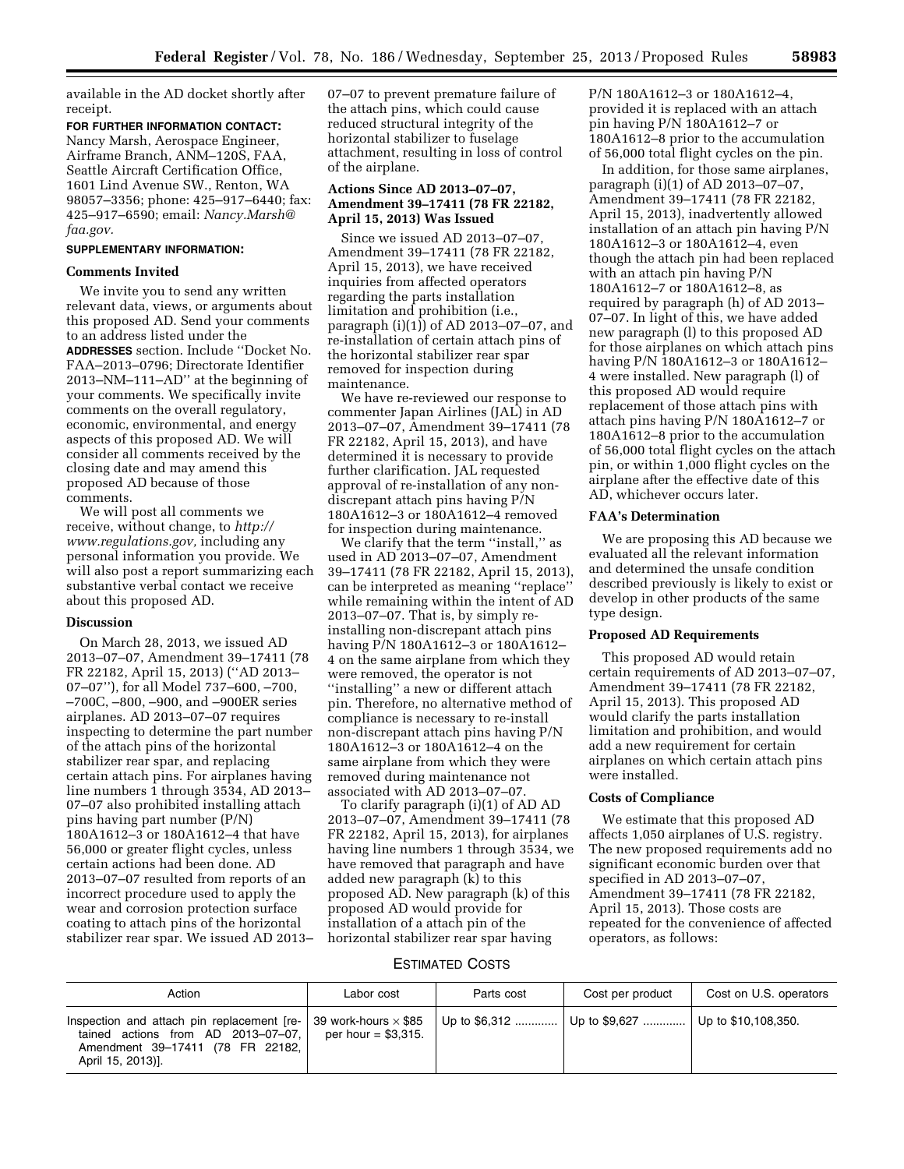available in the AD docket shortly after receipt.

**FOR FURTHER INFORMATION CONTACT:**  Nancy Marsh, Aerospace Engineer, Airframe Branch, ANM–120S, FAA, Seattle Aircraft Certification Office, 1601 Lind Avenue SW., Renton, WA 98057–3356; phone: 425–917–6440; fax: 425–917–6590; email: *[Nancy.Marsh@](mailto:Nancy.Marsh@faa.gov) [faa.gov.](mailto:Nancy.Marsh@faa.gov)* 

# **SUPPLEMENTARY INFORMATION:**

## **Comments Invited**

We invite you to send any written relevant data, views, or arguments about this proposed AD. Send your comments to an address listed under the **ADDRESSES** section. Include ''Docket No. FAA–2013–0796; Directorate Identifier 2013–NM–111–AD'' at the beginning of your comments. We specifically invite comments on the overall regulatory, economic, environmental, and energy aspects of this proposed AD. We will consider all comments received by the closing date and may amend this proposed AD because of those comments.

We will post all comments we receive, without change, to *[http://](http://www.regulations.gov) [www.regulations.gov,](http://www.regulations.gov)* including any personal information you provide. We will also post a report summarizing each substantive verbal contact we receive about this proposed AD.

# **Discussion**

On March 28, 2013, we issued AD 2013–07–07, Amendment 39–17411 (78 FR 22182, April 15, 2013) (''AD 2013– 07–07''), for all Model 737–600, –700, –700C, –800, –900, and –900ER series airplanes. AD 2013–07–07 requires inspecting to determine the part number of the attach pins of the horizontal stabilizer rear spar, and replacing certain attach pins. For airplanes having line numbers 1 through 3534, AD 2013– 07–07 also prohibited installing attach pins having part number (P/N) 180A1612–3 or 180A1612–4 that have 56,000 or greater flight cycles, unless certain actions had been done. AD 2013–07–07 resulted from reports of an incorrect procedure used to apply the wear and corrosion protection surface coating to attach pins of the horizontal stabilizer rear spar. We issued AD 2013– 07–07 to prevent premature failure of the attach pins, which could cause reduced structural integrity of the horizontal stabilizer to fuselage attachment, resulting in loss of control of the airplane.

# **Actions Since AD 2013–07–07, Amendment 39–17411 (78 FR 22182, April 15, 2013) Was Issued**

Since we issued AD 2013–07–07, Amendment 39–17411 (78 FR 22182, April 15, 2013), we have received inquiries from affected operators regarding the parts installation limitation and prohibition (i.e., paragraph (i)(1)) of AD 2013–07–07, and re-installation of certain attach pins of the horizontal stabilizer rear spar removed for inspection during maintenance.

We have re-reviewed our response to commenter Japan Airlines (JAL) in AD 2013–07–07, Amendment 39–17411 (78 FR 22182, April 15, 2013), and have determined it is necessary to provide further clarification. JAL requested approval of re-installation of any nondiscrepant attach pins having P/N 180A1612–3 or 180A1612–4 removed for inspection during maintenance.

We clarify that the term ''install,'' as used in AD 2013–07–07, Amendment 39–17411 (78 FR 22182, April 15, 2013), can be interpreted as meaning ''replace'' while remaining within the intent of AD 2013–07–07. That is, by simply reinstalling non-discrepant attach pins having P/N 180A1612–3 or 180A1612– 4 on the same airplane from which they were removed, the operator is not ''installing'' a new or different attach pin. Therefore, no alternative method of compliance is necessary to re-install non-discrepant attach pins having P/N 180A1612–3 or 180A1612–4 on the same airplane from which they were removed during maintenance not associated with AD 2013–07–07.

To clarify paragraph (i)(1) of AD AD 2013–07–07, Amendment 39–17411 (78 FR 22182, April 15, 2013), for airplanes having line numbers 1 through 3534, we have removed that paragraph and have added new paragraph (k) to this proposed AD. New paragraph (k) of this proposed AD would provide for installation of a attach pin of the horizontal stabilizer rear spar having

P/N 180A1612–3 or 180A1612–4, provided it is replaced with an attach pin having P/N 180A1612–7 or 180A1612–8 prior to the accumulation of 56,000 total flight cycles on the pin.

In addition, for those same airplanes, paragraph (i)(1) of AD 2013–07–07, Amendment 39–17411 (78 FR 22182, April 15, 2013), inadvertently allowed installation of an attach pin having P/N 180A1612–3 or 180A1612–4, even though the attach pin had been replaced with an attach pin having P/N 180A1612–7 or 180A1612–8, as required by paragraph (h) of AD 2013– 07–07. In light of this, we have added new paragraph (l) to this proposed AD for those airplanes on which attach pins having P/N 180A1612–3 or 180A1612– 4 were installed. New paragraph (l) of this proposed AD would require replacement of those attach pins with attach pins having P/N 180A1612–7 or 180A1612–8 prior to the accumulation of 56,000 total flight cycles on the attach pin, or within 1,000 flight cycles on the airplane after the effective date of this AD, whichever occurs later.

# **FAA's Determination**

We are proposing this AD because we evaluated all the relevant information and determined the unsafe condition described previously is likely to exist or develop in other products of the same type design.

## **Proposed AD Requirements**

This proposed AD would retain certain requirements of AD 2013–07–07, Amendment 39–17411 (78 FR 22182, April 15, 2013). This proposed AD would clarify the parts installation limitation and prohibition, and would add a new requirement for certain airplanes on which certain attach pins were installed.

## **Costs of Compliance**

We estimate that this proposed AD affects 1,050 airplanes of U.S. registry. The new proposed requirements add no significant economic burden over that specified in AD 2013–07–07, Amendment 39–17411 (78 FR 22182, April 15, 2013). Those costs are repeated for the convenience of affected operators, as follows:

# ESTIMATED COSTS

| Action                                                                                                                                                                  | Labor cost            | Parts cost | Cost per product                                        | Cost on U.S. operators |
|-------------------------------------------------------------------------------------------------------------------------------------------------------------------------|-----------------------|------------|---------------------------------------------------------|------------------------|
| Inspection and attach pin replacement [re-   39 work-hours $\times$ \$85<br>tained actions from AD 2013-07-07.<br>Amendment 39-17411 (78 FR 22182,<br>April 15, 2013)]. | per hour $=$ \$3.315. |            | Up to $$6,312$   Up to $$9,627$   Up to $$10,108,350$ . |                        |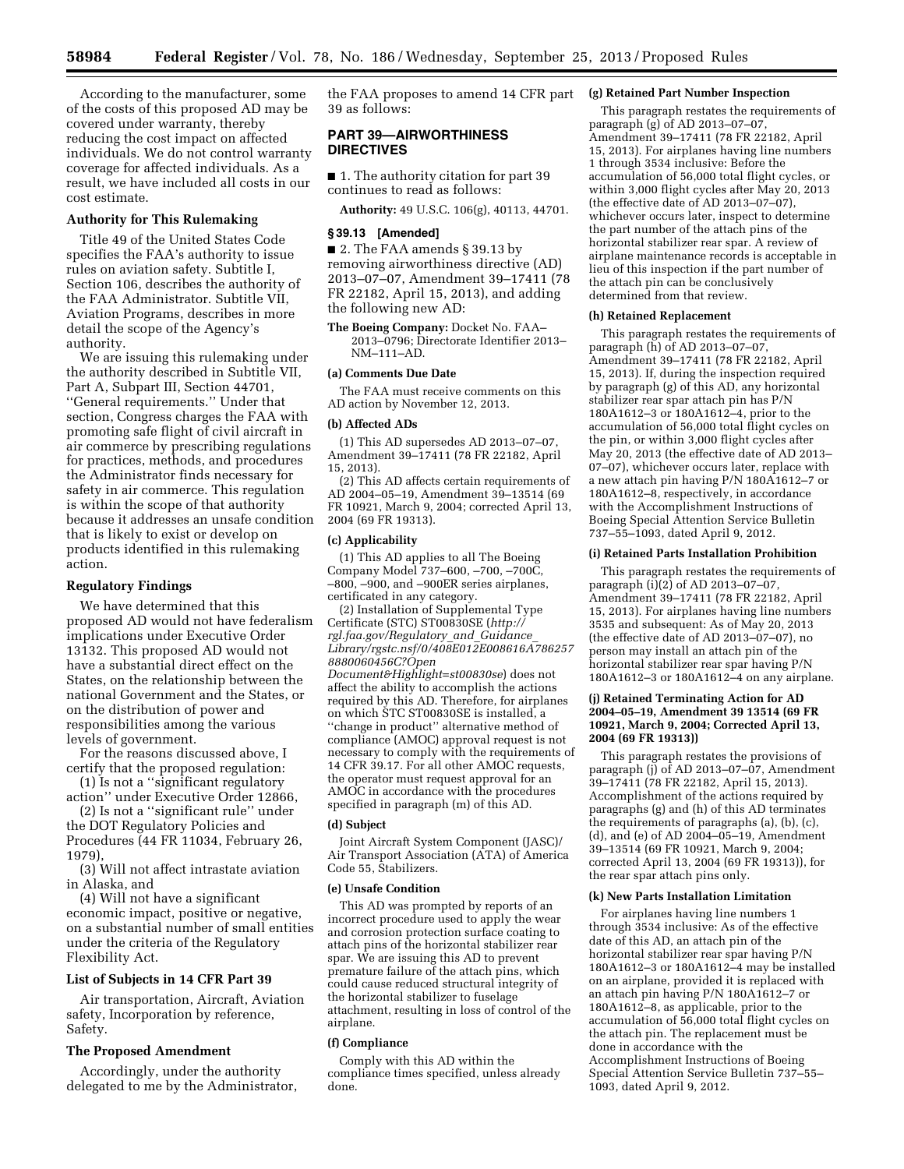According to the manufacturer, some of the costs of this proposed AD may be covered under warranty, thereby reducing the cost impact on affected individuals. We do not control warranty coverage for affected individuals. As a result, we have included all costs in our cost estimate.

# **Authority for This Rulemaking**

Title 49 of the United States Code specifies the FAA's authority to issue rules on aviation safety. Subtitle I, Section 106, describes the authority of the FAA Administrator. Subtitle VII, Aviation Programs, describes in more detail the scope of the Agency's authority.

We are issuing this rulemaking under the authority described in Subtitle VII, Part A, Subpart III, Section 44701, ''General requirements.'' Under that section, Congress charges the FAA with promoting safe flight of civil aircraft in air commerce by prescribing regulations for practices, methods, and procedures the Administrator finds necessary for safety in air commerce. This regulation is within the scope of that authority because it addresses an unsafe condition that is likely to exist or develop on products identified in this rulemaking action.

## **Regulatory Findings**

We have determined that this proposed AD would not have federalism implications under Executive Order 13132. This proposed AD would not have a substantial direct effect on the States, on the relationship between the national Government and the States, or on the distribution of power and responsibilities among the various levels of government.

For the reasons discussed above, I certify that the proposed regulation:

(1) Is not a ''significant regulatory action'' under Executive Order 12866,

(2) Is not a ''significant rule'' under the DOT Regulatory Policies and Procedures (44 FR 11034, February 26, 1979)

(3) Will not affect intrastate aviation in Alaska, and

(4) Will not have a significant economic impact, positive or negative, on a substantial number of small entities under the criteria of the Regulatory Flexibility Act.

## **List of Subjects in 14 CFR Part 39**

Air transportation, Aircraft, Aviation safety, Incorporation by reference, Safety.

# **The Proposed Amendment**

Accordingly, under the authority delegated to me by the Administrator,

the FAA proposes to amend 14 CFR part **(g) Retained Part Number Inspection**  39 as follows:

# **PART 39—AIRWORTHINESS DIRECTIVES**

■ 1. The authority citation for part 39 continues to read as follows:

**Authority:** 49 U.S.C. 106(g), 40113, 44701.

#### **§ 39.13 [Amended]**

■ 2. The FAA amends § 39.13 by removing airworthiness directive (AD) 2013–07–07, Amendment 39–17411 (78 FR 22182, April 15, 2013), and adding the following new AD:

**The Boeing Company:** Docket No. FAA– 2013–0796; Directorate Identifier 2013– NM–111–AD.

# **(a) Comments Due Date**

The FAA must receive comments on this AD action by November 12, 2013.

#### **(b) Affected ADs**

(1) This AD supersedes AD 2013–07–07, Amendment 39–17411 (78 FR 22182, April 15, 2013).

(2) This AD affects certain requirements of AD 2004–05–19, Amendment 39–13514 (69 FR 10921, March 9, 2004; corrected April 13, 2004 (69 FR 19313).

## **(c) Applicability**

(1) This AD applies to all The Boeing Company Model 737–600, –700, –700C, –800, –900, and –900ER series airplanes, certificated in any category.

(2) Installation of Supplemental Type Certificate (STC) ST00830SE (*[http://](http://rgl.faa.gov/Regulatory_and_Guidance_Library/rgstc.nsf/0/408E012E008616A7862578880060456C?OpenDocument&Highlight=st00830se) [rgl.faa.gov/Regulatory](http://rgl.faa.gov/Regulatory_and_Guidance_Library/rgstc.nsf/0/408E012E008616A7862578880060456C?OpenDocument&Highlight=st00830se)*\_*and*\_*Guidance*\_ *[Library/rgstc.nsf/0/408E012E008616A786257](http://rgl.faa.gov/Regulatory_and_Guidance_Library/rgstc.nsf/0/408E012E008616A7862578880060456C?OpenDocument&Highlight=st00830se) [8880060456C?Open](http://rgl.faa.gov/Regulatory_and_Guidance_Library/rgstc.nsf/0/408E012E008616A7862578880060456C?OpenDocument&Highlight=st00830se)*

*[Document&Highlight=st00830se](http://rgl.faa.gov/Regulatory_and_Guidance_Library/rgstc.nsf/0/408E012E008616A7862578880060456C?OpenDocument&Highlight=st00830se)*) does not affect the ability to accomplish the actions required by this AD. Therefore, for airplanes on which STC ST00830SE is installed, a ''change in product'' alternative method of compliance (AMOC) approval request is not necessary to comply with the requirements of 14 CFR 39.17. For all other AMOC requests, the operator must request approval for an AMOC in accordance with the procedures specified in paragraph (m) of this AD.

# **(d) Subject**

Joint Aircraft System Component (JASC)/ Air Transport Association (ATA) of America Code 55, Stabilizers.

#### **(e) Unsafe Condition**

This AD was prompted by reports of an incorrect procedure used to apply the wear and corrosion protection surface coating to attach pins of the horizontal stabilizer rear spar. We are issuing this AD to prevent premature failure of the attach pins, which could cause reduced structural integrity of the horizontal stabilizer to fuselage attachment, resulting in loss of control of the airplane.

#### **(f) Compliance**

Comply with this AD within the compliance times specified, unless already done.

This paragraph restates the requirements of paragraph (g) of AD 2013–07–07, Amendment 39–17411 (78 FR 22182, April 15, 2013). For airplanes having line numbers 1 through 3534 inclusive: Before the accumulation of 56,000 total flight cycles, or within 3,000 flight cycles after May 20, 2013 (the effective date of AD 2013–07–07), whichever occurs later, inspect to determine the part number of the attach pins of the horizontal stabilizer rear spar. A review of airplane maintenance records is acceptable in lieu of this inspection if the part number of the attach pin can be conclusively determined from that review.

### **(h) Retained Replacement**

This paragraph restates the requirements of paragraph (h) of AD 2013–07–07, Amendment 39–17411 (78 FR 22182, April 15, 2013). If, during the inspection required by paragraph (g) of this AD, any horizontal stabilizer rear spar attach pin has P/N 180A1612–3 or 180A1612–4, prior to the accumulation of 56,000 total flight cycles on the pin, or within 3,000 flight cycles after May 20, 2013 (the effective date of AD 2013– 07–07), whichever occurs later, replace with a new attach pin having P/N 180A1612–7 or 180A1612–8, respectively, in accordance with the Accomplishment Instructions of Boeing Special Attention Service Bulletin 737–55–1093, dated April 9, 2012.

#### **(i) Retained Parts Installation Prohibition**

This paragraph restates the requirements of paragraph (i)(2) of AD 2013–07–07, Amendment 39–17411 (78 FR 22182, April 15, 2013). For airplanes having line numbers 3535 and subsequent: As of May 20, 2013 (the effective date of AD 2013–07–07), no person may install an attach pin of the horizontal stabilizer rear spar having P/N 180A1612–3 or 180A1612–4 on any airplane.

## **(j) Retained Terminating Action for AD 2004–05–19, Amendment 39 13514 (69 FR 10921, March 9, 2004; Corrected April 13, 2004 (69 FR 19313))**

This paragraph restates the provisions of paragraph (j) of AD 2013–07–07, Amendment 39–17411 (78 FR 22182, April 15, 2013). Accomplishment of the actions required by paragraphs (g) and (h) of this AD terminates the requirements of paragraphs (a), (b), (c), (d), and (e) of AD 2004–05–19, Amendment 39–13514 (69 FR 10921, March 9, 2004; corrected April 13, 2004 (69 FR 19313)), for the rear spar attach pins only.

#### **(k) New Parts Installation Limitation**

For airplanes having line numbers 1 through 3534 inclusive: As of the effective date of this AD, an attach pin of the horizontal stabilizer rear spar having P/N 180A1612–3 or 180A1612–4 may be installed on an airplane, provided it is replaced with an attach pin having P/N 180A1612–7 or 180A1612–8, as applicable, prior to the accumulation of 56,000 total flight cycles on the attach pin. The replacement must be done in accordance with the Accomplishment Instructions of Boeing Special Attention Service Bulletin 737–55– 1093, dated April 9, 2012.